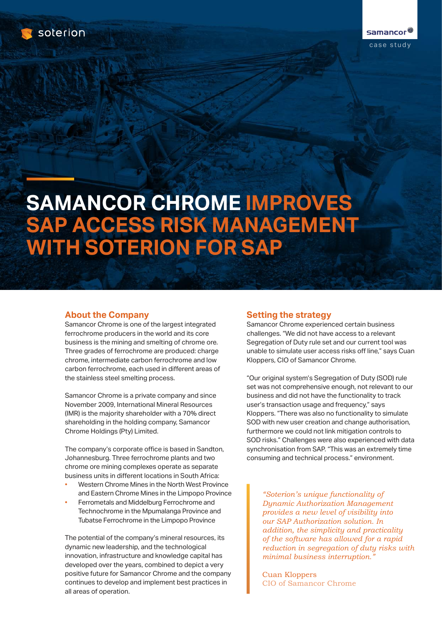

# **SAMANCOR CHROME IMPROVES SAP ACCESS RISK MANAGEMENT WITH SOTERION FOR SAP**

# **About the Company**

Samancor Chrome is one of the largest integrated ferrochrome producers in the world and its core business is the mining and smelting of chrome ore. Three grades of ferrochrome are produced: charge chrome, intermediate carbon ferrochrome and low carbon ferrochrome, each used in different areas of the stainless steel smelting process.

Samancor Chrome is a private company and since November 2009, International Mineral Resources (IMR) is the majority shareholder with a 70% direct shareholding in the holding company, Samancor Chrome Holdings (Pty) Limited.

The company's corporate office is based in Sandton, Johannesburg. Three ferrochrome plants and two chrome ore mining complexes operate as separate business units in different locations in South Africa:

- Western Chrome Mines in the North West Province and Eastern Chrome Mines in the Limpopo Province
- Ferrometals and Middelburg Ferrochrome and Technochrome in the Mpumalanga Province and Tubatse Ferrochrome in the Limpopo Province

The potential of the company's mineral resources, its dynamic new leadership, and the technological innovation, infrastructure and knowledge capital has developed over the years, combined to depict a very positive future for Samancor Chrome and the company continues to develop and implement best practices in all areas of operation.

# **Setting the strategy**

Samancor Chrome experienced certain business challenges. "We did not have access to a relevant Segregation of Duty rule set and our current tool was unable to simulate user access risks off line," says Cuan Kloppers, CIO of Samancor Chrome.

"Our original system's Segregation of Duty (SOD) rule set was not comprehensive enough, not relevant to our business and did not have the functionality to track user's transaction usage and frequency," says Kloppers. "There was also no functionality to simulate SOD with new user creation and change authorisation, furthermore we could not link mitigation controls to SOD risks." Challenges were also experienced with data synchronisation from SAP. "This was an extremely time consuming and technical process." environment.

*"Soterion's unique functionality of Dynamic Authorization Management provides a new level of visibility into our SAP Authorization solution. In addition, the simplicity and practicality of the software has allowed for a rapid reduction in segregation of duty risks with minimal business interruption."*

Cuan Kloppers CIO of Samancor Chrome